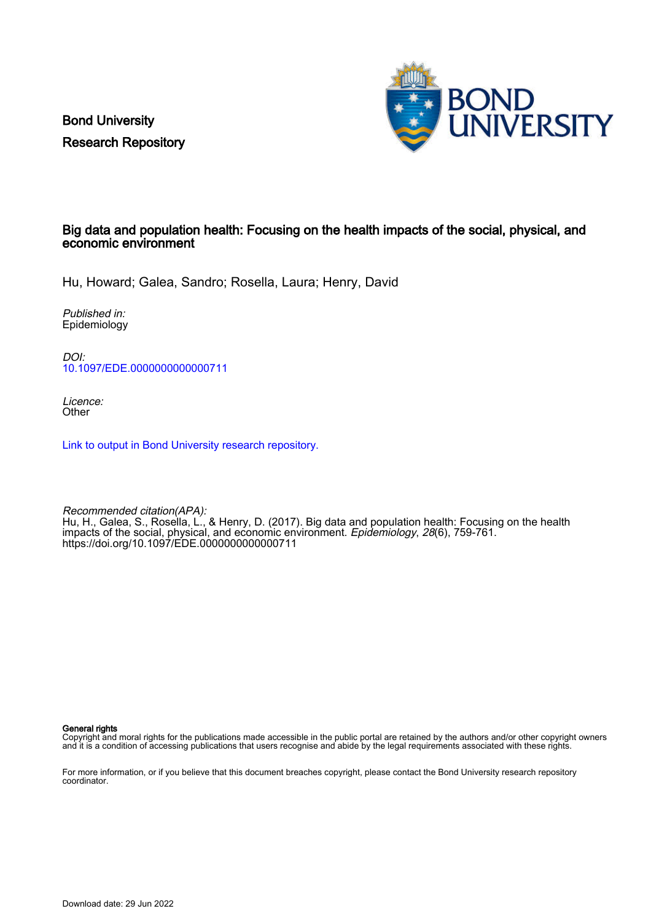Bond University Research Repository



# Big data and population health: Focusing on the health impacts of the social, physical, and economic environment

Hu, Howard; Galea, Sandro; Rosella, Laura; Henry, David

Published in: Epidemiology

DOI: [10.1097/EDE.0000000000000711](https://doi.org/10.1097/EDE.0000000000000711)

Licence: **Other** 

[Link to output in Bond University research repository.](https://research.bond.edu.au/en/publications/24e5cdfd-9e17-4341-8afa-d216b740bca7)

Recommended citation(APA): Hu, H., Galea, S., Rosella, L., & Henry, D. (2017). Big data and population health: Focusing on the health impacts of the social, physical, and economic environment. *Epidemiology, 28*(6), 759-761. <https://doi.org/10.1097/EDE.0000000000000711>

General rights

Copyright and moral rights for the publications made accessible in the public portal are retained by the authors and/or other copyright owners and it is a condition of accessing publications that users recognise and abide by the legal requirements associated with these rights.

For more information, or if you believe that this document breaches copyright, please contact the Bond University research repository coordinator.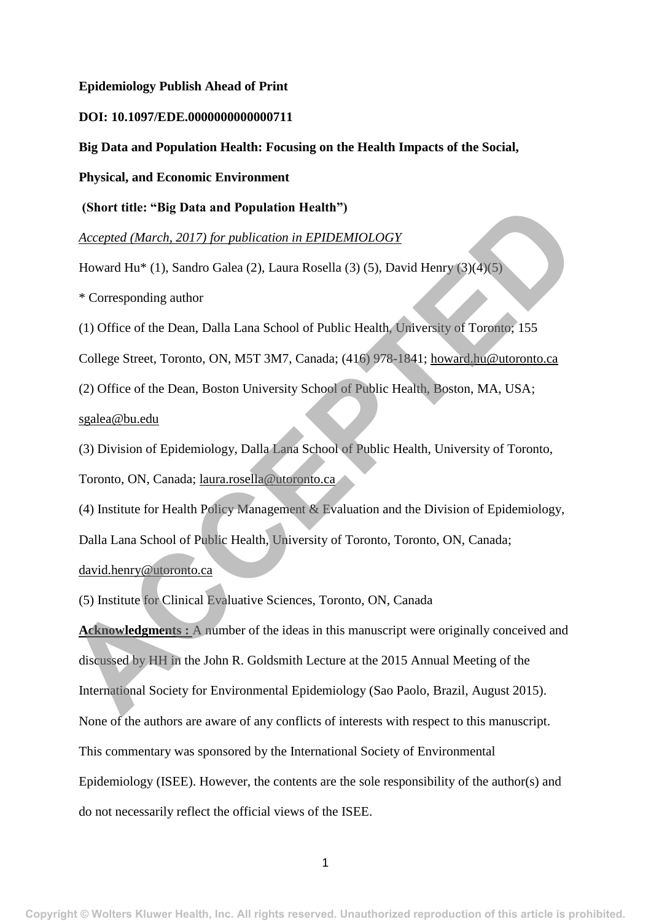#### **Epidemiology Publish Ahead of Print**

## **DOI: 10.1097/EDE.0000000000000711**

**Big Data and Population Health: Focusing on the Health Impacts of the Social,** 

**Physical, and Economic Environment**

**(Short title: "Big Data and Population Health")**

*Accepted (March, 2017) for publication in EPIDEMIOLOGY*

Howard Hu\* (1), Sandro Galea (2), Laura Rosella (3) (5), David Henry (3)(4)(5)

\* Corresponding author

(1) Office of the Dean, Dalla Lana School of Public Health, University of Toronto; 155

College Street, Toronto, ON, M5T 3M7, Canada; (416) 978-1841; howard.hu@utoronto.ca

(2) Office of the Dean, Boston University School of Public Health, Boston, MA, USA; sgalea@bu.edu

(3) Division of Epidemiology, Dalla Lana School of Public Health, University of Toronto, Toronto, ON, Canada; laura.rosella@utoronto.ca

(4) Institute for Health Policy Management & Evaluation and the Division of Epidemiology, Dalla Lana School of Public Health, University of Toronto, Toronto, ON, Canada; david.henry@utoronto.ca

(5) Institute for Clinical Evaluative Sciences, Toronto, ON, Canada

**Acknowledgments** : A number of the ideas in this manuscript were originally conceived and discussed by HH in the John R. Goldsmith Lecture at the 2015 Annual Meeting of the International Society for Environmental Epidemiology (Sao Paolo, Brazil, August 2015). None of the authors are aware of any conflicts of interests with respect to this manuscript. This commentary was sponsored by the International Society of Environmental Epidemiology (ISEE). However, the contents are the sole responsibility of the author(s) and do not necessarily reflect the official views of the ISEE. **Accord (March, 2017)** for publication Health")<br>Accorpted (March, 2017) for publication in EPIDEMIOLOGY<br>
Howard Hu<sup>a</sup> (1), Sandro Galea (2), Laura Rosella (3) (5), David Henry (3)(4)(5)<br>
\* [C](mailto:david.henry@utoronto.ca)orresponding author<br>
(1) Office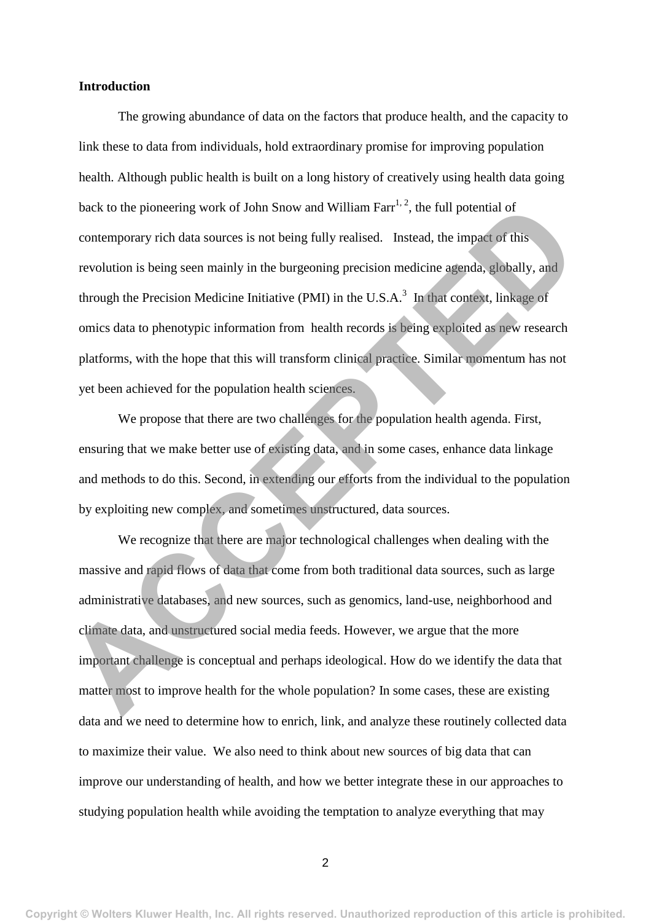# **Introduction**

The growing abundance of data on the factors that produce health, and the capacity to link these to data from individuals, hold extraordinary promise for improving population health. Although public health is built on a long history of creatively using health data going back to the pioneering work of John Snow and William Farr<sup>1, 2</sup>, the full potential of contemporary rich data sources is not being fully realised. Instead, the impact of this revolution is being seen mainly in the burgeoning precision medicine agenda, globally, and through the Precision Medicine Initiative (PMI) in the U.S.A. $3$  In that context, linkage of omics data to phenotypic information from health records is being exploited as new research platforms, with the hope that this will transform clinical practice. Similar momentum has not yet been achieved for the population health sciences. back to the pioneering work of John Snow and William Farr<sup>12</sup>, the full potential of<br>contemporary rich data sources is not being fully realised. Instead, the impact of this<br>revolution is being seen mainly in the burgeoning

We propose that there are two challenges for the population health agenda. First, ensuring that we make better use of existing data, and in some cases, enhance data linkage and methods to do this. Second, in extending our efforts from the individual to the population by exploiting new complex, and sometimes unstructured, data sources.

We recognize that there are major technological challenges when dealing with the massive and rapid flows of data that come from both traditional data sources, such as large administrative databases, and new sources, such as genomics, land-use, neighborhood and climate data, and unstructured social media feeds. However, we argue that the more important challenge is conceptual and perhaps ideological. How do we identify the data that matter most to improve health for the whole population? In some cases, these are existing data and we need to determine how to enrich, link, and analyze these routinely collected data to maximize their value. We also need to think about new sources of big data that can improve our understanding of health, and how we better integrate these in our approaches to studying population health while avoiding the temptation to analyze everything that may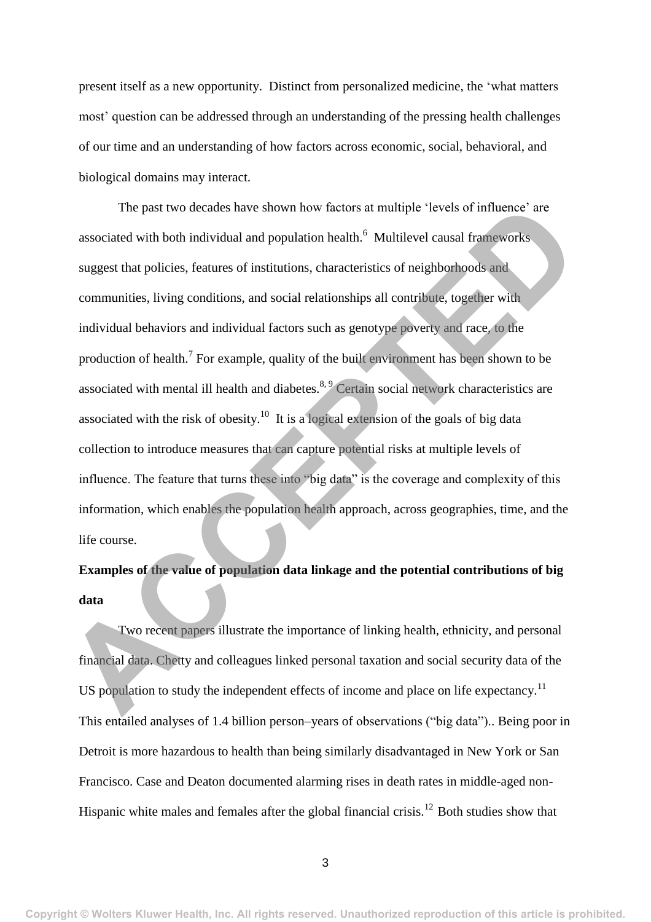present itself as a new opportunity. Distinct from personalized medicine, the 'what matters most' question can be addressed through an understanding of the pressing health challenges of our time and an understanding of how factors across economic, social, behavioral, and biological domains may interact.

The past two decades have shown how factors at multiple 'levels of influence' are associated with both individual and population health.<sup>6</sup> Multilevel causal frameworks suggest that policies, features of institutions, characteristics of neighborhoods and communities, living conditions, and social relationships all contribute, together with individual behaviors and individual factors such as genotype poverty and race, to the production of health.<sup>7</sup> For example, quality of the built environment has been shown to be associated with mental ill health and diabetes. $8.9$  Certain social network characteristics are associated with the risk of obesity.<sup>10</sup> It is a logical extension of the goals of big data collection to introduce measures that can capture potential risks at multiple levels of influence. The feature that turns these into "big data" is the coverage and complexity of this information, which enables the population health approach, across geographies, time, and the life course. The past two decades have shown how factors at multiple 'levels of influence' are<br>associated with both individual and population health.<sup>6</sup> Multilevel causal frameworks<br>suggest that policies, features of institutions, char

# **Examples of the value of population data linkage and the potential contributions of big data**

Two recent papers illustrate the importance of linking health, ethnicity, and personal financial data. Chetty and colleagues linked personal taxation and social security data of the US population to study the independent effects of income and place on life expectancy.<sup>11</sup> This entailed analyses of 1.4 billion person–years of observations ("big data").. Being poor in Detroit is more hazardous to health than being similarly disadvantaged in New York or San Francisco. Case and Deaton documented alarming rises in death rates in middle-aged non-Hispanic white males and females after the global financial crisis.<sup>12</sup> Both studies show that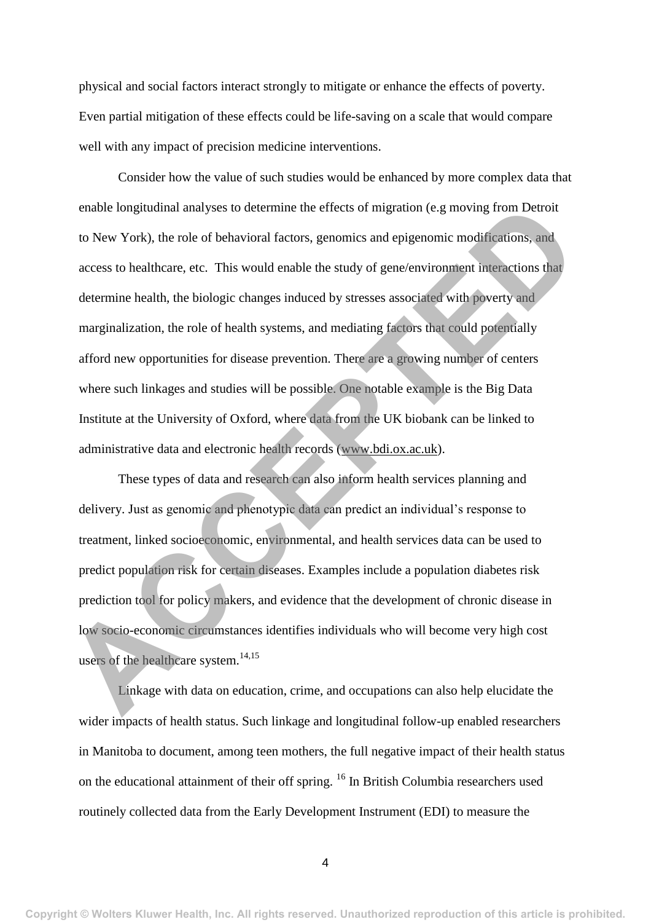physical and social factors interact strongly to mitigate or enhance the effects of poverty. Even partial mitigation of these effects could be life-saving on a scale that would compare well with any impact of precision medicine interventions.

Consider how the value of such studies would be enhanced by more complex data that enable longitudinal analyses to determine the effects of migration (e.g moving from Detroit to New York), the role of behavioral factors, genomics and epigenomic modifications, and access to healthcare, etc. This would enable the study of gene/environment interactions that determine health, the biologic changes induced by stresses associated with poverty and marginalization, the role of health systems, and mediating factors that could potentially afford new opportunities for disease prevention. There are a growing number of centers where such linkages and studies will be possible. One notable example is the Big Data Institute at the University of Oxford, where data from the UK biobank can be linked to administrative data and electronic health records (www.bdi.ox.ac.uk). enable longitudinal analyses to determine the effects of migration (e.g moving from Detroit<br>to New York), the role of behavioral factors, genomics and epigenomic modifications, and<br>access to healthcare, etc. This would en

These types of data and research can also inform health services planning and delivery. Just as genomic and phenotypic data can predict an individual's response to treatment, linked socioeconomic, environmental, and health services data can be used to predict population risk for certain diseases. Examples include a population diabetes risk prediction tool for policy makers, and evidence that the development of chronic disease in low socio-economic circumstances identifies individuals who will become very high cost users of the healthcare system. $14,15$ 

Linkage with data on education, crime, and occupations can also help elucidate the wider impacts of health status. Such linkage and longitudinal follow-up enabled researchers in Manitoba to document, among teen mothers, the full negative impact of their health status on the educational attainment of their off spring. <sup>16</sup> In British Columbia researchers used routinely collected data from the Early Development Instrument (EDI) to measure the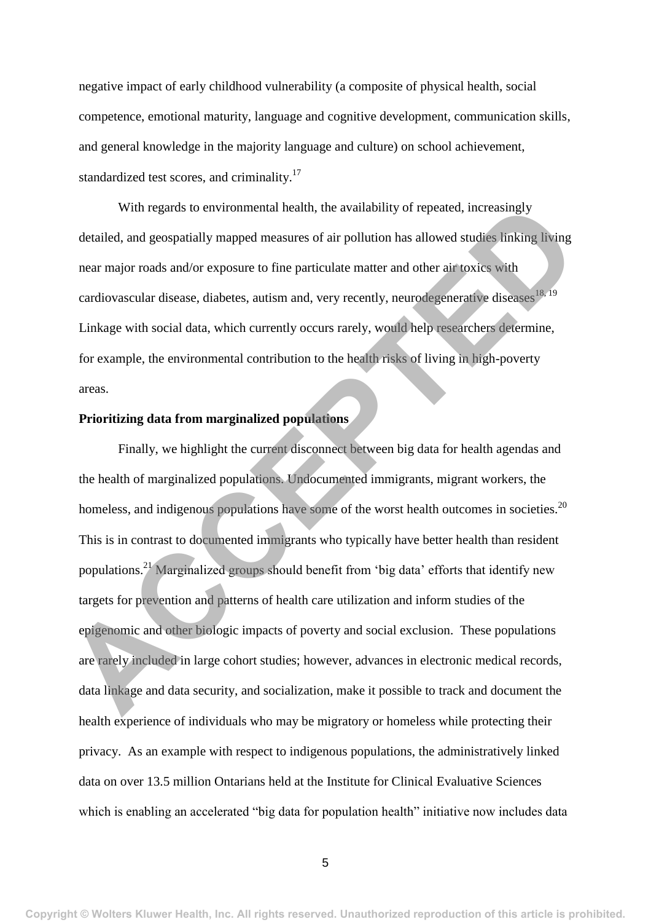negative impact of early childhood vulnerability (a composite of physical health, social competence, emotional maturity, language and cognitive development, communication skills, and general knowledge in the majority language and culture) on school achievement, standardized test scores, and criminality.<sup>17</sup>

With regards to environmental health, the availability of repeated, increasingly detailed, and geospatially mapped measures of air pollution has allowed studies linking living near major roads and/or exposure to fine particulate matter and other air toxics with cardiovascular disease, diabetes, autism and, very recently, neurodegenerative diseases<sup>18, 19</sup> Linkage with social data, which currently occurs rarely, would help researchers determine, for example, the environmental contribution to the health risks of living in high-poverty areas.

# **Prioritizing data from marginalized populations**

Finally, we highlight the current disconnect between big data for health agendas and the health of marginalized populations. Undocumented immigrants, migrant workers, the homeless, and indigenous populations have some of the worst health outcomes in societies.<sup>20</sup> This is in contrast to documented immigrants who typically have better health than resident populations.<sup>21</sup> Marginalized groups should benefit from 'big data' efforts that identify new targets for prevention and patterns of health care utilization and inform studies of the epigenomic and other biologic impacts of poverty and social exclusion. These populations are rarely included in large cohort studies; however, advances in electronic medical records, data linkage and data security, and socialization, make it possible to track and document the health experience of individuals who may be migratory or homeless while protecting their privacy. As an example with respect to indigenous populations, the administratively linked data on over 13.5 million Ontarians held at the Institute for Clinical Evaluative Sciences which is enabling an accelerated "big data for population health" initiative now includes data With regards to environmental health, the availability of repeated, increasingly<br>detailed, and geospatially mapped measures of air pollution has allowed studies linking living<br>near major roads and/or exposure to fine parti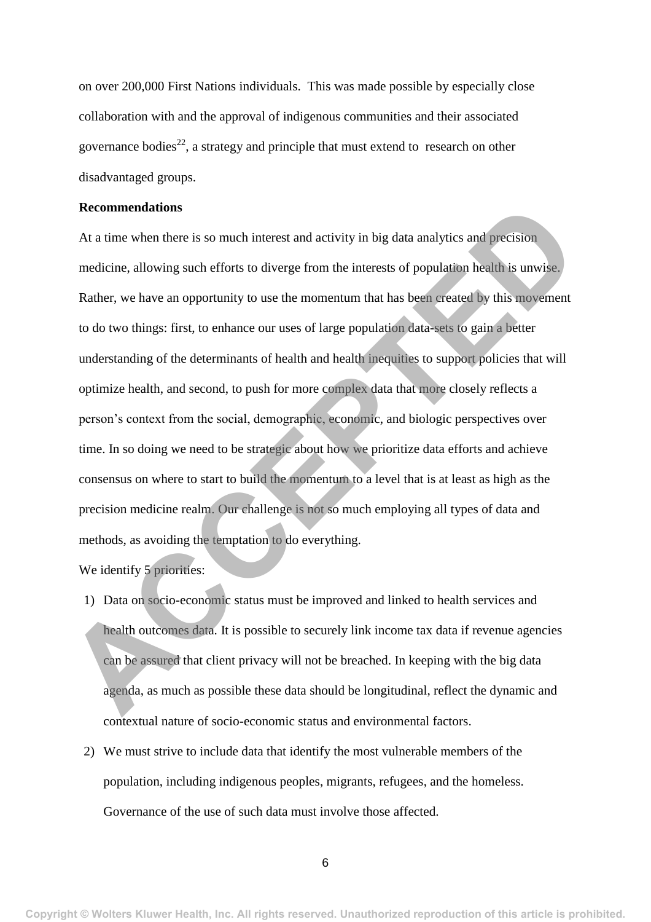on over 200,000 First Nations individuals. This was made possible by especially close collaboration with and the approval of indigenous communities and their associated governance bodies<sup>22</sup>, a strategy and principle that must extend to research on other disadvantaged groups.

## **Recommendations**

At a time when there is so much interest and activity in big data analytics and precision medicine, allowing such efforts to diverge from the interests of population health is unwise. Rather, we have an opportunity to use the momentum that has been created by this movement to do two things: first, to enhance our uses of large population data-sets to gain a better understanding of the determinants of health and health inequities to support policies that will optimize health, and second, to push for more complex data that more closely reflects a person's context from the social, demographic, economic, and biologic perspectives over time. In so doing we need to be strategic about how we prioritize data efforts and achieve consensus on where to start to build the momentum to a level that is at least as high as the precision medicine realm. Our challenge is not so much employing all types of data and methods, as avoiding the temptation to do everything. **Examinedations**<br>
At a time when there is so much interest and activity in big data analytics and precision<br>
medicine, allowing such efforts to diverge from the interests of population health is unwise.<br>
Ruther, we have an

We identify 5 priorities:

- 1) Data on socio-economic status must be improved and linked to health services and health outcomes data. It is possible to securely link income tax data if revenue agencies can be assured that client privacy will not be breached. In keeping with the big data agenda, as much as possible these data should be longitudinal, reflect the dynamic and contextual nature of socio-economic status and environmental factors.
- 2) We must strive to include data that identify the most vulnerable members of the population, including indigenous peoples, migrants, refugees, and the homeless. Governance of the use of such data must involve those affected.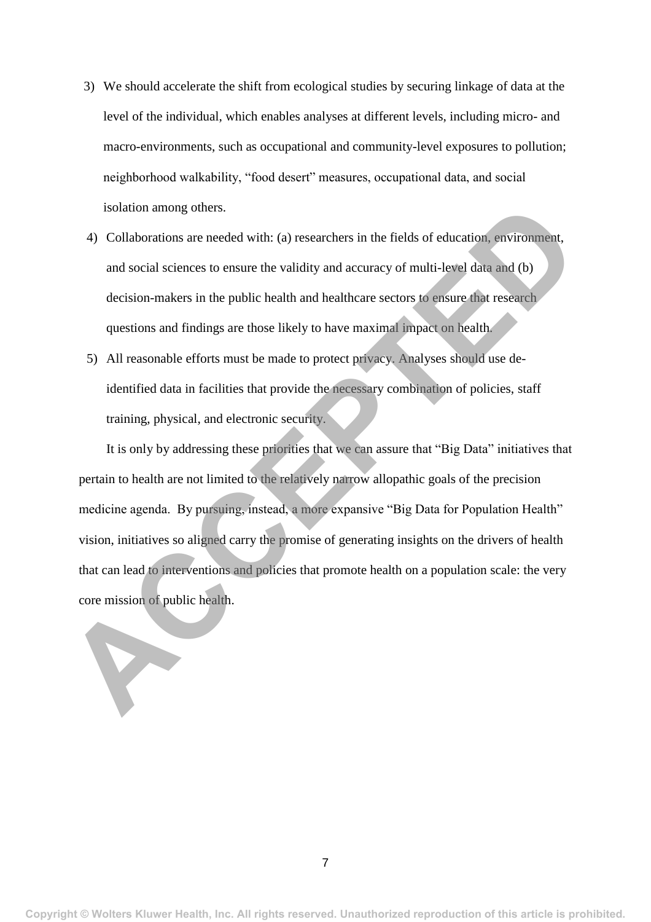- 3) We should accelerate the shift from ecological studies by securing linkage of data at the level of the individual, which enables analyses at different levels, including micro- and macro-environments, such as occupational and community-level exposures to pollution; neighborhood walkability, "food desert" measures, occupational data, and social isolation among others.
- 4) Collaborations are needed with: (a) researchers in the fields of education, environment, and social sciences to ensure the validity and accuracy of multi-level data and (b) decision-makers in the public health and healthcare sectors to ensure that research questions and findings are those likely to have maximal impact on health.
- 5) All reasonable efforts must be made to protect privacy. Analyses should use deidentified data in facilities that provide the necessary combination of policies, staff training, physical, and electronic security.

It is only by addressing these priorities that we can assure that "Big Data" initiatives that pertain to health are not limited to the relatively narrow allopathic goals of the precision medicine agenda. By pursuing, instead, a more expansive "Big Data for Population Health" vision, initiatives so aligned carry the promise of generating insights on the drivers of health that can lead to interventions and policies that promote health on a population scale: the very core mission of public health. isolation among others.<br>
4) Collaborations are needed with: (a) researchers in the fields of education, environment,<br>
and social sciences to ensure the validity and accuracy of multi-level data and (b)<br>
decision-makers in

**Copyright © Wolters Kluwer Health, Inc. All rights reserved. Unauthorized reproduction of this article is prohibited.**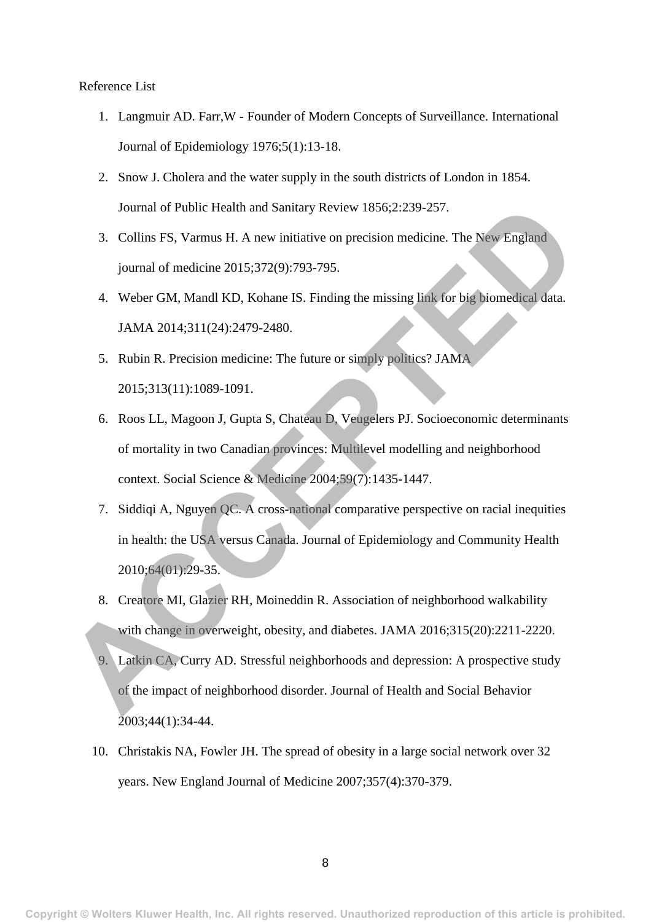## Reference List

- 1. Langmuir AD. Farr,W Founder of Modern Concepts of Surveillance. International Journal of Epidemiology 1976;5(1):13-18.
- 2. Snow J. Cholera and the water supply in the south districts of London in 1854. Journal of Public Health and Sanitary Review 1856;2:239-257.
- 3. Collins FS, Varmus H. A new initiative on precision medicine. The New England journal of medicine 2015;372(9):793-795.
- 4. Weber GM, Mandl KD, Kohane IS. Finding the missing link for big biomedical data. JAMA 2014;311(24):2479-2480.
- 5. Rubin R. Precision medicine: The future or simply politics? JAMA 2015;313(11):1089-1091.
- 6. Roos LL, Magoon J, Gupta S, Chateau D, Veugelers PJ. Socioeconomic determinants of mortality in two Canadian provinces: Multilevel modelling and neighborhood context. Social Science & Medicine 2004;59(7):1435-1447. Fournal of Public Health and Sanitary Review 1856;2:239-257.<br> **ACCEPTED** S. Collins FS, Varmus H. A new initiative on precision medicine. The New England<br>
journal of medicine 2015;372(9):793-795.<br> **4.** Weber GM, Mandl KD,
	- 7. Siddiqi A, Nguyen QC. A cross-national comparative perspective on racial inequities in health: the USA versus Canada. Journal of Epidemiology and Community Health 2010;64(01):29-35.
	- 8. Creatore MI, Glazier RH, Moineddin R. Association of neighborhood walkability with change in overweight, obesity, and diabetes. JAMA 2016;315(20):2211-2220.
	- 9. Latkin CA, Curry AD. Stressful neighborhoods and depression: A prospective study of the impact of neighborhood disorder. Journal of Health and Social Behavior 2003;44(1):34-44.
	- 10. Christakis NA, Fowler JH. The spread of obesity in a large social network over 32 years. New England Journal of Medicine 2007;357(4):370-379.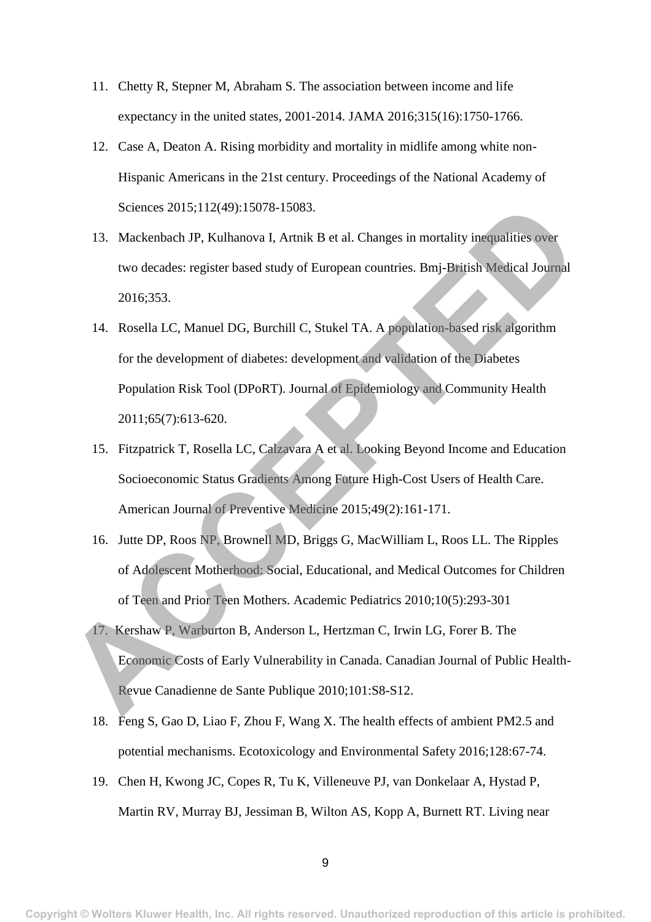- 11. Chetty R, Stepner M, Abraham S. The association between income and life expectancy in the united states, 2001-2014. JAMA 2016;315(16):1750-1766.
- 12. Case A, Deaton A. Rising morbidity and mortality in midlife among white non-Hispanic Americans in the 21st century. Proceedings of the National Academy of Sciences 2015;112(49):15078-15083.
- 13. Mackenbach JP, Kulhanova I, Artnik B et al. Changes in mortality inequalities over two decades: register based study of European countries. Bmj-British Medical Journal 2016;353.
- 14. Rosella LC, Manuel DG, Burchill C, Stukel TA. A population-based risk algorithm for the development of diabetes: development and validation of the Diabetes Population Risk Tool (DPoRT). Journal of Epidemiology and Community Health 2011;65(7):613-620. Sciences 2015;112(49):15078-15083.<br>
13. Mackenbach JP, Kulhanova I, Armik B et al. Changes in mortality inequalities over<br>
two decades: register based study of European countries. Bmj-British Medical Journal<br>
2016;353.<br>
14
	- 15. Fitzpatrick T, Rosella LC, Calzavara A et al. Looking Beyond Income and Education Socioeconomic Status Gradients Among Future High-Cost Users of Health Care. American Journal of Preventive Medicine 2015;49(2):161-171.
	- 16. Jutte DP, Roos NP, Brownell MD, Briggs G, MacWilliam L, Roos LL. The Ripples of Adolescent Motherhood: Social, Educational, and Medical Outcomes for Children of Teen and Prior Teen Mothers. Academic Pediatrics 2010;10(5):293-301
	- 17. Kershaw P, Warburton B, Anderson L, Hertzman C, Irwin LG, Forer B. The Economic Costs of Early Vulnerability in Canada. Canadian Journal of Public Health-Revue Canadienne de Sante Publique 2010;101:S8-S12.
	- 18. Feng S, Gao D, Liao F, Zhou F, Wang X. The health effects of ambient PM2.5 and potential mechanisms. Ecotoxicology and Environmental Safety 2016;128:67-74.
	- 19. Chen H, Kwong JC, Copes R, Tu K, Villeneuve PJ, van Donkelaar A, Hystad P, Martin RV, Murray BJ, Jessiman B, Wilton AS, Kopp A, Burnett RT. Living near